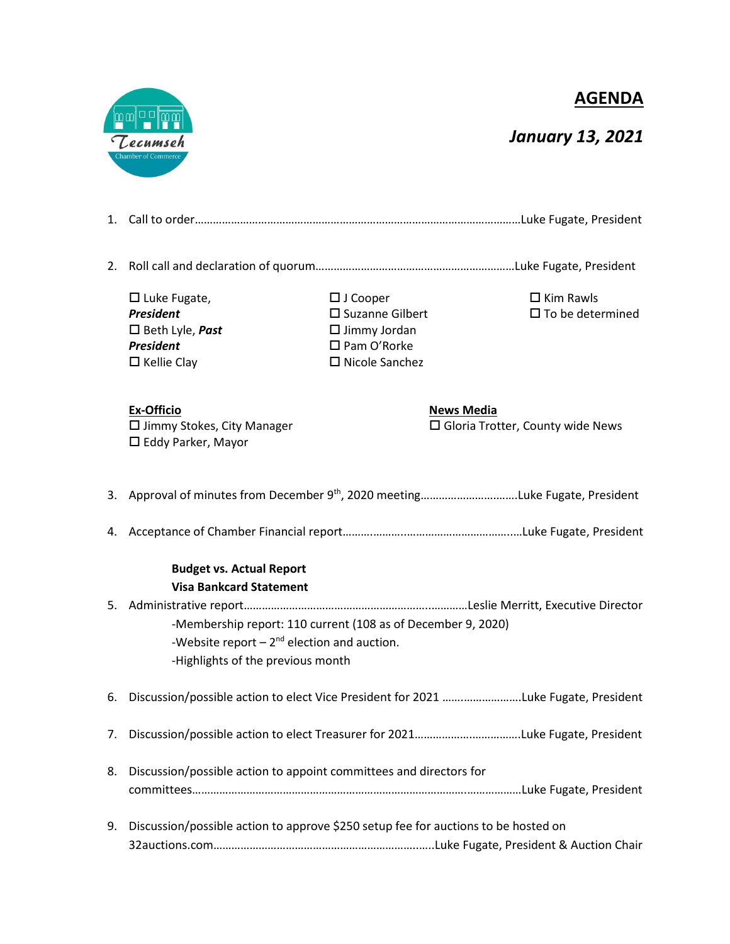**AGENDA**



## *January 13, 2021*

| 2. |                                                                                                                                                      |                                                                                                                          |                                                                 |  |
|----|------------------------------------------------------------------------------------------------------------------------------------------------------|--------------------------------------------------------------------------------------------------------------------------|-----------------------------------------------------------------|--|
|    | $\Box$ Luke Fugate,<br><b>President</b><br>$\Box$ Beth Lyle, <b>Past</b><br><b>President</b><br>$\Box$ Kellie Clay                                   | $\Box$ J Cooper<br>$\square$ Suzanne Gilbert<br>$\Box$ Jimmy Jordan<br>$\square$ Pam O'Rorke<br>$\square$ Nicole Sanchez | $\Box$ Kim Rawls<br>$\square$ To be determined                  |  |
|    | <b>Ex-Officio</b><br>$\square$ Jimmy Stokes, City Manager<br>$\Box$ Eddy Parker, Mayor                                                               |                                                                                                                          | <b>News Media</b><br>$\square$ Gloria Trotter, County wide News |  |
|    |                                                                                                                                                      |                                                                                                                          |                                                                 |  |
|    |                                                                                                                                                      |                                                                                                                          |                                                                 |  |
|    | <b>Budget vs. Actual Report</b><br><b>Visa Bankcard Statement</b>                                                                                    |                                                                                                                          |                                                                 |  |
|    | -Membership report: 110 current (108 as of December 9, 2020)<br>-Website report $-2^{nd}$ election and auction.<br>-Highlights of the previous month |                                                                                                                          |                                                                 |  |
|    | 6. Discussion/possible action to elect Vice President for 2021 Luke Fugate, President                                                                |                                                                                                                          |                                                                 |  |
|    |                                                                                                                                                      |                                                                                                                          |                                                                 |  |
| 8. | Discussion/possible action to appoint committees and directors for                                                                                   |                                                                                                                          |                                                                 |  |
| 9. | Discussion/possible action to approve \$250 setup fee for auctions to be hosted on                                                                   |                                                                                                                          |                                                                 |  |